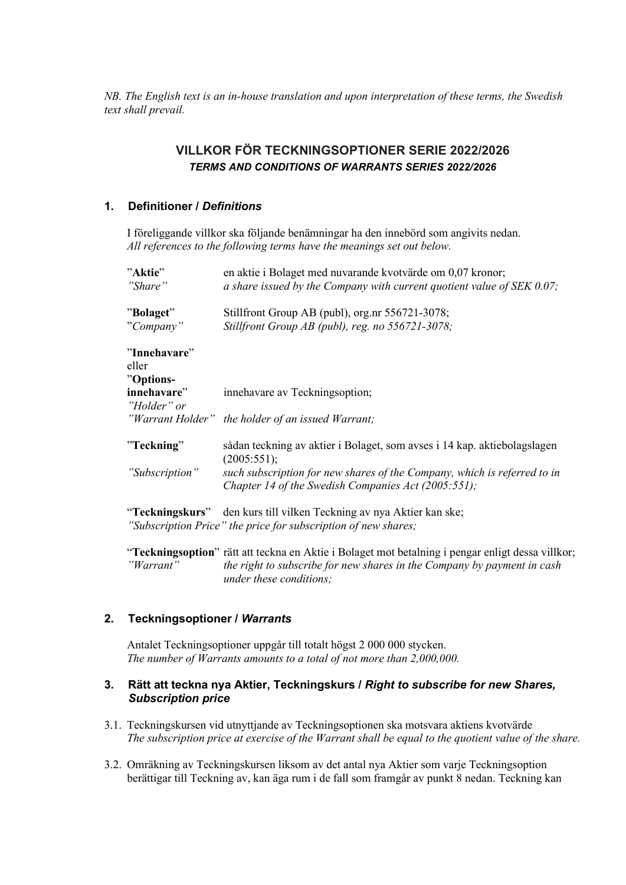*NB. The English text is an in-house translation and upon interpretation of these terms, the Swedish text shall prevail.* 

# **VILLKOR FÖR TECKNINGSOPTIONER SERIE 2022/2026**  *TERMS AND CONDITIONS OF WARRANTS SERIES 2022/2026*

# **1. Definitioner /** *Definitions*

I föreliggande villkor ska följande benämningar ha den innebörd som angivits nedan. *All references to the following terms have the meanings set out below.* 

| "Aktie"        | en aktie i Bolaget med nuvarande kvotvärde om 0,07 kronor;                                                                             |
|----------------|----------------------------------------------------------------------------------------------------------------------------------------|
| "Share"        | a share issued by the Company with current quotient value of $SEK$ 0.07;                                                               |
| "Bolaget"      | Stillfront Group AB (publ), org.nr 556721-3078;                                                                                        |
| "Company"      | Stillfront Group AB (publ), reg. no 556721-3078;                                                                                       |
| "Innehavare"   |                                                                                                                                        |
| eller          |                                                                                                                                        |
| "Options-      |                                                                                                                                        |
| innehavare"    | innehavare av Teckningsoption;                                                                                                         |
| "Holder" or    |                                                                                                                                        |
|                | "Warrant Holder" the holder of an issued Warrant;                                                                                      |
| "Teckning"     | sådan teckning av aktier i Bolaget, som avses i 14 kap. aktiebolagslagen<br>(2005:551);                                                |
| "Subscription" | such subscription for new shares of the Company, which is referred to in<br>Chapter 14 of the Swedish Companies Act (2005:551);        |
|                | "Teckningskurs" den kurs till vilken Teckning av nya Aktier kan ske;<br>"Subscription Price" the price for subscription of new shares; |

"**Teckningsoption**" rätt att teckna en Aktie i Bolaget mot betalning i pengar enligt dessa villkor; *"Warrant" the right to subscribe for new shares in the Company by payment in cash under these conditions;*

### **2. Teckningsoptioner /** *Warrants*

Antalet Teckningsoptioner uppgår till totalt högst 2 000 000 stycken. *The number of Warrants amounts to a total of not more than 2,000,000.* 

# **3. Rätt att teckna nya Aktier, Teckningskurs /** *Right to subscribe for new Shares, Subscription price*

- 3.1. Teckningskursen vid utnyttjande av Teckningsoptionen ska motsvara aktiens kvotvärde *The subscription price at exercise of the Warrant shall be equal to the quotient value of the share.*
- 3.2. Omräkning av Teckningskursen liksom av det antal nya Aktier som varje Teckningsoption berättigar till Teckning av, kan äga rum i de fall som framgår av punkt 8 nedan. Teckning kan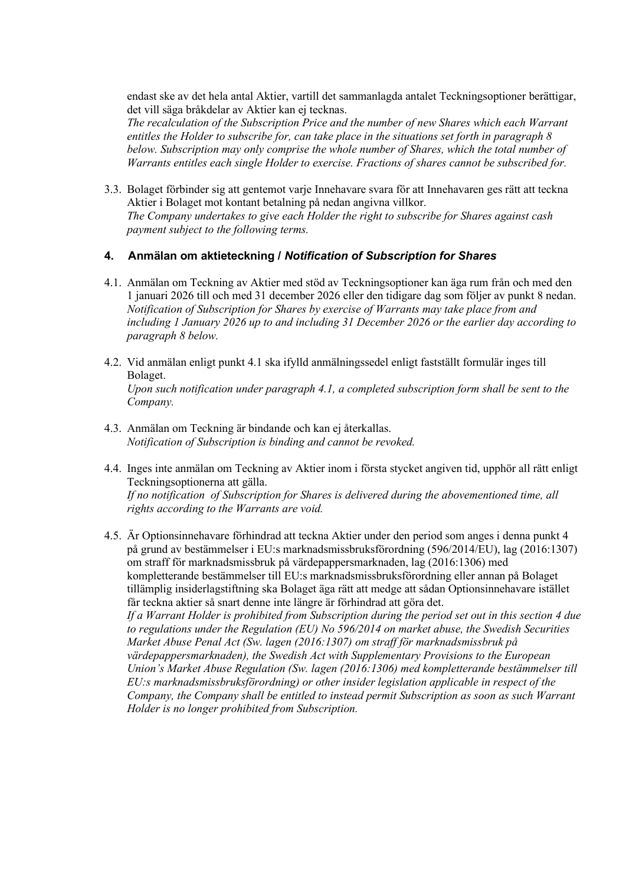endast ske av det hela antal Aktier, vartill det sammanlagda antalet Teckningsoptioner berättigar, det vill säga bråkdelar av Aktier kan ej tecknas.

*The recalculation of the Subscription Price and the number of new Shares which each Warrant entitles the Holder to subscribe for, can take place in the situations set forth in paragraph 8 below. Subscription may only comprise the whole number of Shares, which the total number of Warrants entitles each single Holder to exercise. Fractions of shares cannot be subscribed for.* 

3.3. Bolaget förbinder sig att gentemot varje Innehavare svara för att Innehavaren ges rätt att teckna Aktier i Bolaget mot kontant betalning på nedan angivna villkor. *The Company undertakes to give each Holder the right to subscribe for Shares against cash payment subject to the following terms.*

# **4. Anmälan om aktieteckning /** *Notification of Subscription for Shares*

- 4.1. Anmälan om Teckning av Aktier med stöd av Teckningsoptioner kan äga rum från och med den 1 januari 2026 till och med 31 december 2026 eller den tidigare dag som följer av punkt 8 nedan. *Notification of Subscription for Shares by exercise of Warrants may take place from and including 1 January 2026 up to and including 31 December 2026 or the earlier day according to paragraph 8 below.*
- 4.2. Vid anmälan enligt punkt 4.1 ska ifylld anmälningssedel enligt fastställt formulär inges till Bolaget. *Upon such notification under paragraph 4.1, a completed subscription form shall be sent to the Company.*
- 4.3. Anmälan om Teckning är bindande och kan ej återkallas. *Notification of Subscription is binding and cannot be revoked.*
- 4.4. Inges inte anmälan om Teckning av Aktier inom i första stycket angiven tid, upphör all rätt enligt Teckningsoptionerna att gälla. *If no notification of Subscription for Shares is delivered during the abovementioned time, all rights according to the Warrants are void.*
- 4.5. Är Optionsinnehavare förhindrad att teckna Aktier under den period som anges i denna punkt 4 på grund av bestämmelser i EU:s marknadsmissbruksförordning (596/2014/EU), lag (2016:1307) om straff för marknadsmissbruk på värdepappersmarknaden, lag (2016:1306) med kompletterande bestämmelser till EU:s marknadsmissbruksförordning eller annan på Bolaget tillämplig insiderlagstiftning ska Bolaget äga rätt att medge att sådan Optionsinnehavare istället får teckna aktier så snart denne inte längre är förhindrad att göra det. *If a Warrant Holder is prohibited from Subscription during the period set out in this section 4 due to regulations under the Regulation (EU) No 596/2014 on market abuse, the Swedish Securities Market Abuse Penal Act (Sw. lagen (2016:1307) om straff för marknadsmissbruk på värdepappersmarknaden), the Swedish Act with Supplementary Provisions to the European Union's Market Abuse Regulation (Sw. lagen (2016:1306) med kompletterande bestämmelser till EU:s marknadsmissbruksförordning) or other insider legislation applicable in respect of the Company, the Company shall be entitled to instead permit Subscription as soon as such Warrant Holder is no longer prohibited from Subscription.*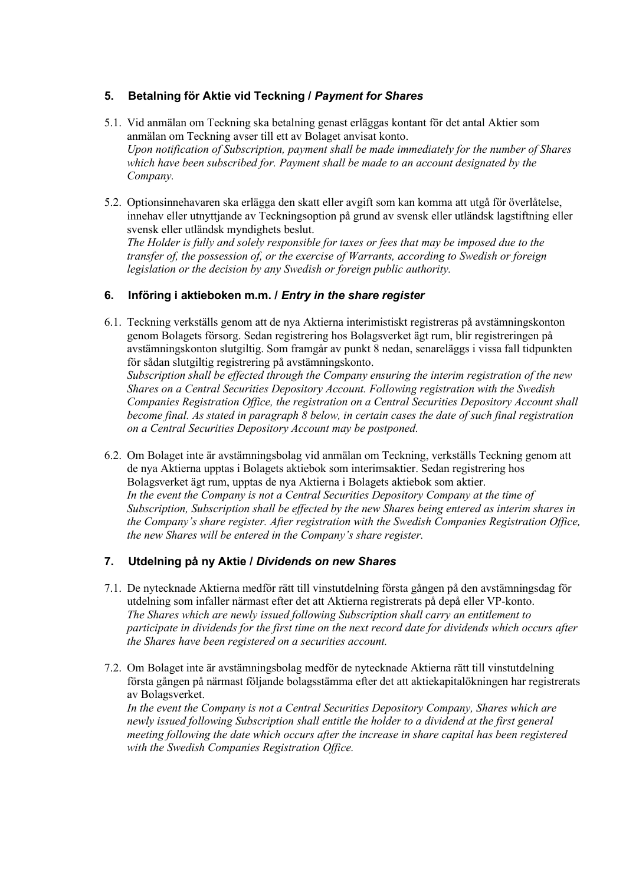# **5. Betalning för Aktie vid Teckning /** *Payment for Shares*

- 5.1. Vid anmälan om Teckning ska betalning genast erläggas kontant för det antal Aktier som anmälan om Teckning avser till ett av Bolaget anvisat konto. *Upon notification of Subscription, payment shall be made immediately for the number of Shares which have been subscribed for. Payment shall be made to an account designated by the Company.*
- 5.2. Optionsinnehavaren ska erlägga den skatt eller avgift som kan komma att utgå för överlåtelse, innehav eller utnyttjande av Teckningsoption på grund av svensk eller utländsk lagstiftning eller svensk eller utländsk myndighets beslut. *The Holder is fully and solely responsible for taxes or fees that may be imposed due to the transfer of, the possession of, or the exercise of Warrants, according to Swedish or foreign legislation or the decision by any Swedish or foreign public authority.*

# **6. Införing i aktieboken m.m. /** *Entry in the share register*

6.1. Teckning verkställs genom att de nya Aktierna interimistiskt registreras på avstämningskonton genom Bolagets försorg. Sedan registrering hos Bolagsverket ägt rum, blir registreringen på avstämningskonton slutgiltig. Som framgår av punkt 8 nedan, senareläggs i vissa fall tidpunkten för sådan slutgiltig registrering på avstämningskonto. *Subscription shall be effected through the Company ensuring the interim registration of the new Shares on a Central Securities Depository Account. Following registration with the Swedish* 

*Companies Registration Office, the registration on a Central Securities Depository Account shall become final. As stated in paragraph 8 below, in certain cases the date of such final registration on a Central Securities Depository Account may be postponed.*

6.2. Om Bolaget inte är avstämningsbolag vid anmälan om Teckning, verkställs Teckning genom att de nya Aktierna upptas i Bolagets aktiebok som interimsaktier. Sedan registrering hos Bolagsverket ägt rum, upptas de nya Aktierna i Bolagets aktiebok som aktier. *In the event the Company is not a Central Securities Depository Company at the time of Subscription, Subscription shall be effected by the new Shares being entered as interim shares in the Company's share register. After registration with the Swedish Companies Registration Office, the new Shares will be entered in the Company's share register.*

### **7. Utdelning på ny Aktie /** *Dividends on new Shares*

- 7.1. De nytecknade Aktierna medför rätt till vinstutdelning första gången på den avstämningsdag för utdelning som infaller närmast efter det att Aktierna registrerats på depå eller VP-konto. *The Shares which are newly issued following Subscription shall carry an entitlement to participate in dividends for the first time on the next record date for dividends which occurs after the Shares have been registered on a securities account.*
- 7.2. Om Bolaget inte är avstämningsbolag medför de nytecknade Aktierna rätt till vinstutdelning första gången på närmast följande bolagsstämma efter det att aktiekapitalökningen har registrerats av Bolagsverket.

*In the event the Company is not a Central Securities Depository Company, Shares which are newly issued following Subscription shall entitle the holder to a dividend at the first general meeting following the date which occurs after the increase in share capital has been registered with the Swedish Companies Registration Office.*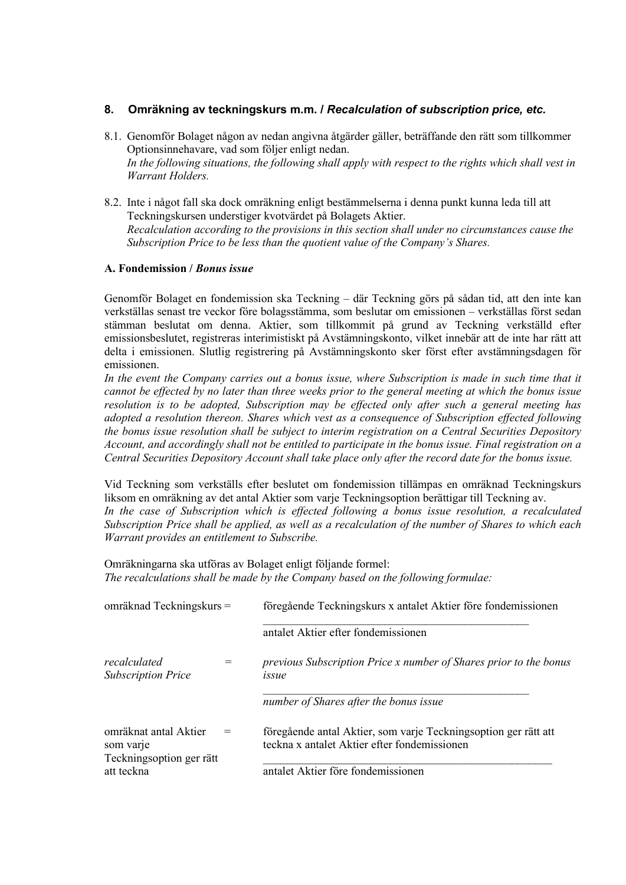# **8. Omräkning av teckningskurs m.m. /** *Recalculation of subscription price, etc.*

- 8.1. Genomför Bolaget någon av nedan angivna åtgärder gäller, beträffande den rätt som tillkommer Optionsinnehavare, vad som följer enligt nedan. *In the following situations, the following shall apply with respect to the rights which shall vest in Warrant Holders.*
- 8.2. Inte i något fall ska dock omräkning enligt bestämmelserna i denna punkt kunna leda till att Teckningskursen understiger kvotvärdet på Bolagets Aktier. *Recalculation according to the provisions in this section shall under no circumstances cause the Subscription Price to be less than the quotient value of the Company's Shares.*

### **A. Fondemission /** *Bonus issue*

Genomför Bolaget en fondemission ska Teckning – där Teckning görs på sådan tid, att den inte kan verkställas senast tre veckor före bolagsstämma, som beslutar om emissionen – verkställas först sedan stämman beslutat om denna. Aktier, som tillkommit på grund av Teckning verkställd efter emissionsbeslutet, registreras interimistiskt på Avstämningskonto, vilket innebär att de inte har rätt att delta i emissionen. Slutlig registrering på Avstämningskonto sker först efter avstämningsdagen för emissionen.

In the event the Company carries out a bonus issue, where Subscription is made in such time that it *cannot be effected by no later than three weeks prior to the general meeting at which the bonus issue resolution is to be adopted, Subscription may be effected only after such a general meeting has adopted a resolution thereon. Shares which vest as a consequence of Subscription effected following the bonus issue resolution shall be subject to interim registration on a Central Securities Depository Account, and accordingly shall not be entitled to participate in the bonus issue. Final registration on a Central Securities Depository Account shall take place only after the record date for the bonus issue.*

Vid Teckning som verkställs efter beslutet om fondemission tillämpas en omräknad Teckningskurs liksom en omräkning av det antal Aktier som varje Teckningsoption berättigar till Teckning av. In the case of Subscription which is effected following a bonus issue resolution, a recalculated *Subscription Price shall be applied, as well as a recalculation of the number of Shares to which each Warrant provides an entitlement to Subscribe.*

Omräkningarna ska utföras av Bolaget enligt följande formel: *The recalculations shall be made by the Company based on the following formulae:*

| omräknad Teckningskurs =                  | föregående Teckningskurs x antalet Aktier före fondemissionen                                                   |  |
|-------------------------------------------|-----------------------------------------------------------------------------------------------------------------|--|
|                                           | antalet Aktier efter fondemissionen                                                                             |  |
| recalculated<br><b>Subscription Price</b> | previous Subscription Price x number of Shares prior to the bonus<br>issue                                      |  |
|                                           | number of Shares after the bonus issue                                                                          |  |
| omräknat antal Aktier<br>som varje        | föregående antal Aktier, som varje Teckningsoption ger rätt att<br>teckna x antalet Aktier efter fondemissionen |  |
| Teckningsoption ger rätt<br>att teckna    | antalet Aktier före fondemissionen                                                                              |  |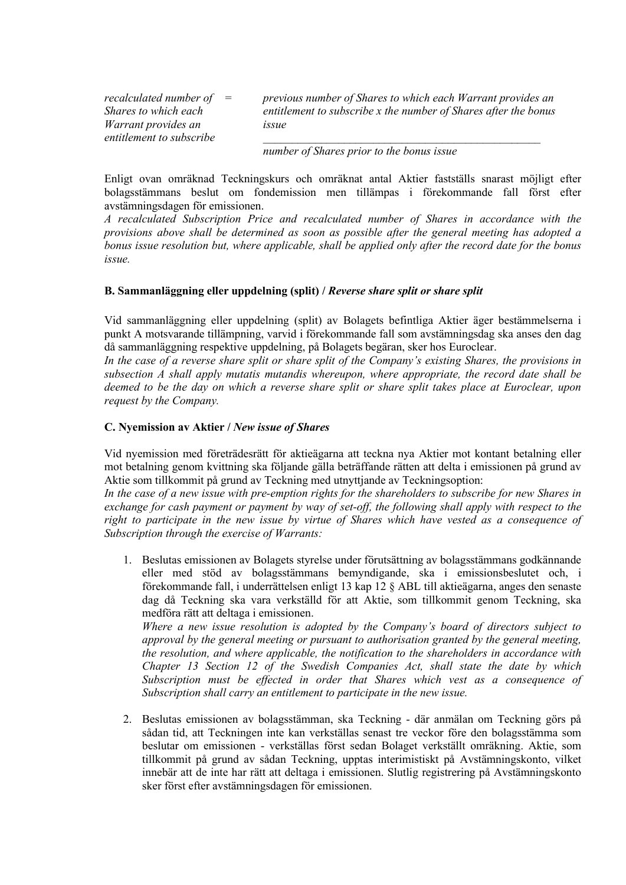*recalculated number of Shares to which each Warrant provides an entitlement to subscribe*

*= previous number of Shares to which each Warrant provides an entitlement to subscribe x the number of Shares after the bonus issue*

*\_\_\_\_\_\_\_\_\_\_\_\_\_\_\_\_\_\_\_\_\_\_\_\_\_\_\_\_\_\_\_\_\_\_\_\_\_\_\_\_\_\_\_\_\_\_\_\_*

*number of Shares prior to the bonus issue*

Enligt ovan omräknad Teckningskurs och omräknat antal Aktier fastställs snarast möjligt efter bolagsstämmans beslut om fondemission men tillämpas i förekommande fall först efter avstämningsdagen för emissionen.

*A recalculated Subscription Price and recalculated number of Shares in accordance with the provisions above shall be determined as soon as possible after the general meeting has adopted a bonus issue resolution but, where applicable, shall be applied only after the record date for the bonus issue.*

# **B. Sammanläggning eller uppdelning (split) /** *Reverse share split or share split*

Vid sammanläggning eller uppdelning (split) av Bolagets befintliga Aktier äger bestämmelserna i punkt A motsvarande tillämpning, varvid i förekommande fall som avstämningsdag ska anses den dag då sammanläggning respektive uppdelning, på Bolagets begäran, sker hos Euroclear.

*In the case of a reverse share split or share split of the Company's existing Shares, the provisions in subsection A shall apply mutatis mutandis whereupon, where appropriate, the record date shall be deemed to be the day on which a reverse share split or share split takes place at Euroclear, upon request by the Company.*

### **C. Nyemission av Aktier /** *New issue of Shares*

Vid nyemission med företrädesrätt för aktieägarna att teckna nya Aktier mot kontant betalning eller mot betalning genom kvittning ska följande gälla beträffande rätten att delta i emissionen på grund av Aktie som tillkommit på grund av Teckning med utnyttjande av Teckningsoption:

*In the case of a new issue with pre-emption rights for the shareholders to subscribe for new Shares in exchange for cash payment or payment by way of set-off, the following shall apply with respect to the right to participate in the new issue by virtue of Shares which have vested as a consequence of Subscription through the exercise of Warrants:*

1. Beslutas emissionen av Bolagets styrelse under förutsättning av bolagsstämmans godkännande eller med stöd av bolagsstämmans bemyndigande, ska i emissionsbeslutet och, i förekommande fall, i underrättelsen enligt 13 kap 12 § ABL till aktieägarna, anges den senaste dag då Teckning ska vara verkställd för att Aktie, som tillkommit genom Teckning, ska medföra rätt att deltaga i emissionen.

*Where a new issue resolution is adopted by the Company's board of directors subject to approval by the general meeting or pursuant to authorisation granted by the general meeting, the resolution, and where applicable, the notification to the shareholders in accordance with Chapter 13 Section 12 of the Swedish Companies Act, shall state the date by which Subscription must be effected in order that Shares which vest as a consequence of Subscription shall carry an entitlement to participate in the new issue.*

2. Beslutas emissionen av bolagsstämman, ska Teckning - där anmälan om Teckning görs på sådan tid, att Teckningen inte kan verkställas senast tre veckor före den bolagsstämma som beslutar om emissionen - verkställas först sedan Bolaget verkställt omräkning. Aktie, som tillkommit på grund av sådan Teckning, upptas interimistiskt på Avstämningskonto, vilket innebär att de inte har rätt att deltaga i emissionen. Slutlig registrering på Avstämningskonto sker först efter avstämningsdagen för emissionen.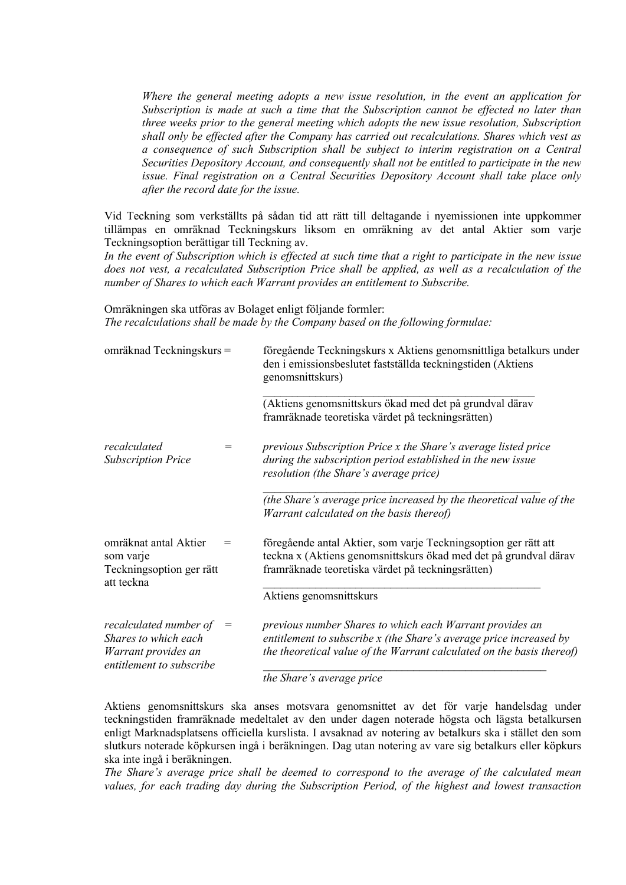*Where the general meeting adopts a new issue resolution, in the event an application for Subscription is made at such a time that the Subscription cannot be effected no later than three weeks prior to the general meeting which adopts the new issue resolution, Subscription shall only be effected after the Company has carried out recalculations. Shares which vest as a consequence of such Subscription shall be subject to interim registration on a Central Securities Depository Account, and consequently shall not be entitled to participate in the new issue. Final registration on a Central Securities Depository Account shall take place only after the record date for the issue.*

Vid Teckning som verkställts på sådan tid att rätt till deltagande i nyemissionen inte uppkommer tillämpas en omräknad Teckningskurs liksom en omräkning av det antal Aktier som varje Teckningsoption berättigar till Teckning av.

*In the event of Subscription which is effected at such time that a right to participate in the new issue does not vest, a recalculated Subscription Price shall be applied, as well as a recalculation of the number of Shares to which each Warrant provides an entitlement to Subscribe.*

Omräkningen ska utföras av Bolaget enligt följande formler: *The recalculations shall be made by the Company based on the following formulae:*

| omräknad Teckningskurs =                                                                          |                                     | föregående Teckningskurs x Aktiens genomsnittliga betalkurs under<br>den i emissionsbeslutet fastställda teckningstiden (Aktiens<br>genomsnittskurs)                                                    |
|---------------------------------------------------------------------------------------------------|-------------------------------------|---------------------------------------------------------------------------------------------------------------------------------------------------------------------------------------------------------|
|                                                                                                   |                                     | (Aktiens genomsnittskurs ökad med det på grundval därav<br>framräknade teoretiska värdet på teckningsrätten)                                                                                            |
| recalculated<br><b>Subscription Price</b>                                                         | =                                   | previous Subscription Price x the Share's average listed price<br>during the subscription period established in the new issue<br>resolution (the Share's average price)                                 |
|                                                                                                   |                                     | (the Share's average price increased by the theoretical value of the<br>Warrant calculated on the basis thereof)                                                                                        |
| omräknat antal Aktier<br>som varje<br>Teckningsoption ger rätt<br>att teckna                      | =                                   | föregående antal Aktier, som varje Teckningsoption ger rätt att<br>teckna x (Aktiens genomsnittskurs ökad med det på grundval därav<br>framräknade teoretiska värdet på teckningsrätten)                |
|                                                                                                   |                                     | Aktiens genomsnittskurs                                                                                                                                                                                 |
| recalculated number of<br>Shares to which each<br>Warrant provides an<br>entitlement to subscribe | $\hspace*{0.4em} = \hspace*{0.4em}$ | previous number Shares to which each Warrant provides an<br>entitlement to subscribe x (the Share's average price increased by<br>the theoretical value of the Warrant calculated on the basis thereof) |
|                                                                                                   |                                     | the Share's average price                                                                                                                                                                               |

Aktiens genomsnittskurs ska anses motsvara genomsnittet av det för varje handelsdag under teckningstiden framräknade medeltalet av den under dagen noterade högsta och lägsta betalkursen enligt Marknadsplatsens officiella kurslista. I avsaknad av notering av betalkurs ska i stället den som slutkurs noterade köpkursen ingå i beräkningen. Dag utan notering av vare sig betalkurs eller köpkurs ska inte ingå i beräkningen.

*The Share's average price shall be deemed to correspond to the average of the calculated mean values, for each trading day during the Subscription Period, of the highest and lowest transaction*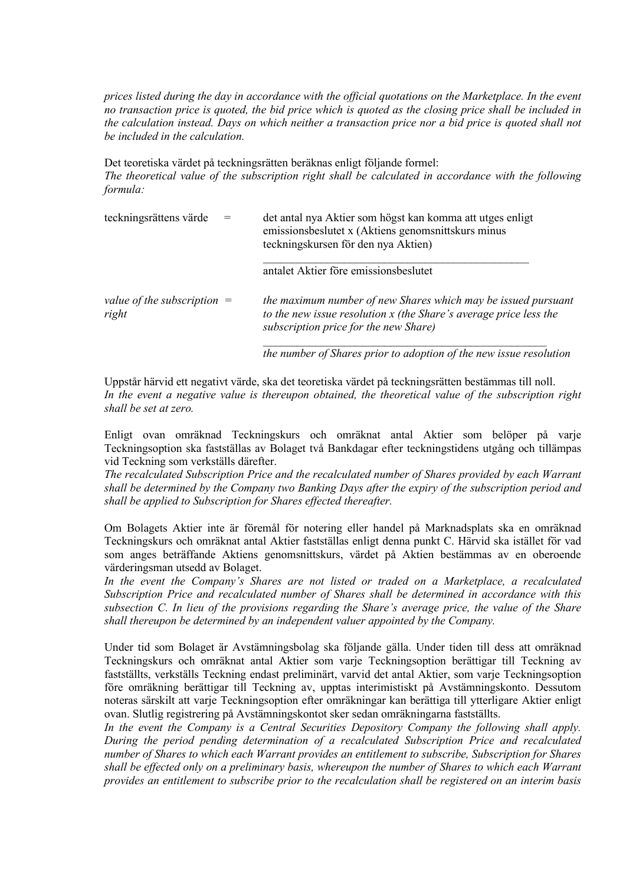*prices listed during the day in accordance with the official quotations on the Marketplace. In the event no transaction price is quoted, the bid price which is quoted as the closing price shall be included in the calculation instead. Days on which neither a transaction price nor a bid price is quoted shall not be included in the calculation.*

Det teoretiska värdet på teckningsrätten beräknas enligt följande formel: *The theoretical value of the subscription right shall be calculated in accordance with the following formula:*

| teckningsrättens värde                 | det antal nya Aktier som högst kan komma att utges enligt<br>emissionsbeslutet x (Aktiens genomsnittskurs minus<br>teckningskursen för den nya Aktien)                      |
|----------------------------------------|-----------------------------------------------------------------------------------------------------------------------------------------------------------------------------|
|                                        | antalet Aktier före emissionsbeslutet                                                                                                                                       |
| value of the subscription $=$<br>right | the maximum number of new Shares which may be issued pursuant<br>to the new issue resolution x (the Share's average price less the<br>subscription price for the new Share) |

*the number of Shares prior to adoption of the new issue resolution*

Uppstår härvid ett negativt värde, ska det teoretiska värdet på teckningsrätten bestämmas till noll. *In the event a negative value is thereupon obtained, the theoretical value of the subscription right shall be set at zero.*

Enligt ovan omräknad Teckningskurs och omräknat antal Aktier som belöper på varje Teckningsoption ska fastställas av Bolaget två Bankdagar efter teckningstidens utgång och tillämpas vid Teckning som verkställs därefter.

*The recalculated Subscription Price and the recalculated number of Shares provided by each Warrant shall be determined by the Company two Banking Days after the expiry of the subscription period and shall be applied to Subscription for Shares effected thereafter.*

Om Bolagets Aktier inte är föremål för notering eller handel på Marknadsplats ska en omräknad Teckningskurs och omräknat antal Aktier fastställas enligt denna punkt C. Härvid ska istället för vad som anges beträffande Aktiens genomsnittskurs, värdet på Aktien bestämmas av en oberoende värderingsman utsedd av Bolaget.

In the event the Company's Shares are not listed or traded on a Marketplace, a recalculated *Subscription Price and recalculated number of Shares shall be determined in accordance with this subsection C. In lieu of the provisions regarding the Share's average price, the value of the Share shall thereupon be determined by an independent valuer appointed by the Company.*

Under tid som Bolaget är Avstämningsbolag ska följande gälla. Under tiden till dess att omräknad Teckningskurs och omräknat antal Aktier som varje Teckningsoption berättigar till Teckning av fastställts, verkställs Teckning endast preliminärt, varvid det antal Aktier, som varje Teckningsoption före omräkning berättigar till Teckning av, upptas interimistiskt på Avstämningskonto. Dessutom noteras särskilt att varje Teckningsoption efter omräkningar kan berättiga till ytterligare Aktier enligt ovan. Slutlig registrering på Avstämningskontot sker sedan omräkningarna fastställts.

*In the event the Company is a Central Securities Depository Company the following shall apply. During the period pending determination of a recalculated Subscription Price and recalculated number of Shares to which each Warrant provides an entitlement to subscribe, Subscription for Shares shall be effected only on a preliminary basis, whereupon the number of Shares to which each Warrant provides an entitlement to subscribe prior to the recalculation shall be registered on an interim basis*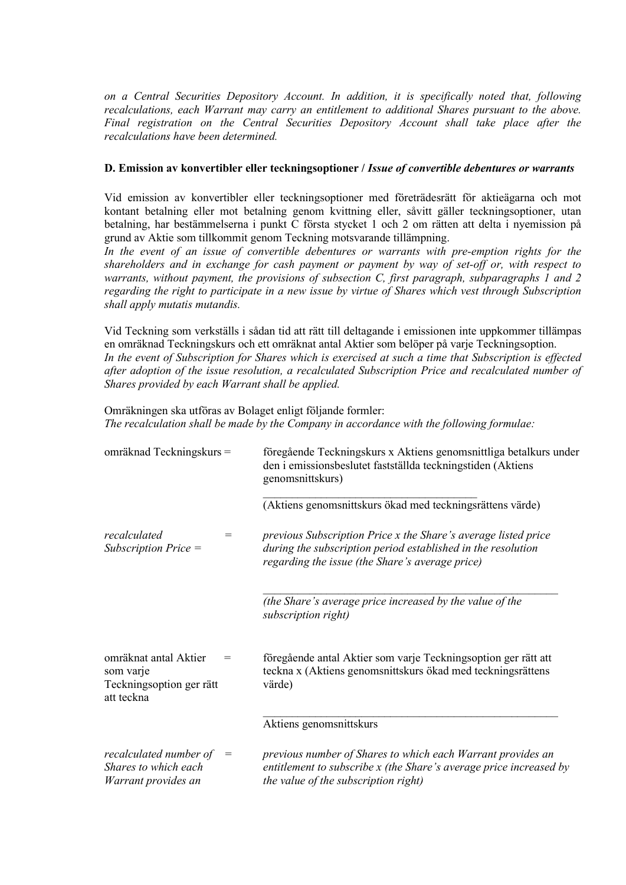*on a Central Securities Depository Account. In addition, it is specifically noted that, following recalculations, each Warrant may carry an entitlement to additional Shares pursuant to the above. Final registration on the Central Securities Depository Account shall take place after the recalculations have been determined.*

### **D. Emission av konvertibler eller teckningsoptioner /** *Issue of convertible debentures or warrants*

Vid emission av konvertibler eller teckningsoptioner med företrädesrätt för aktieägarna och mot kontant betalning eller mot betalning genom kvittning eller, såvitt gäller teckningsoptioner, utan betalning, har bestämmelserna i punkt C första stycket 1 och 2 om rätten att delta i nyemission på grund av Aktie som tillkommit genom Teckning motsvarande tillämpning.

*In the event of an issue of convertible debentures or warrants with pre-emption rights for the shareholders and in exchange for cash payment or payment by way of set-off or, with respect to warrants, without payment, the provisions of subsection C, first paragraph, subparagraphs 1 and 2 regarding the right to participate in a new issue by virtue of Shares which vest through Subscription shall apply mutatis mutandis.*

Vid Teckning som verkställs i sådan tid att rätt till deltagande i emissionen inte uppkommer tillämpas en omräknad Teckningskurs och ett omräknat antal Aktier som belöper på varje Teckningsoption. *In the event of Subscription for Shares which is exercised at such a time that Subscription is effected after adoption of the issue resolution, a recalculated Subscription Price and recalculated number of Shares provided by each Warrant shall be applied.*

Omräkningen ska utföras av Bolaget enligt följande formler: *The recalculation shall be made by the Company in accordance with the following formulae:*

| omräknad Teckningskurs =                                                     |                                     | föregående Teckningskurs x Aktiens genomsnittliga betalkurs under<br>den i emissionsbeslutet fastställda teckningstiden (Aktiens<br>genomsnittskurs)<br>(Aktiens genomsnittskurs ökad med teckningsrättens värde) |
|------------------------------------------------------------------------------|-------------------------------------|-------------------------------------------------------------------------------------------------------------------------------------------------------------------------------------------------------------------|
| recalculated<br>Subscription Price =                                         | $=$                                 | previous Subscription Price x the Share's average listed price<br>during the subscription period established in the resolution<br>regarding the issue (the Share's average price)                                 |
|                                                                              |                                     | (the Share's average price increased by the value of the<br>subscription right)                                                                                                                                   |
| omräknat antal Aktier<br>som varje<br>Teckningsoption ger rätt<br>att teckna | $=$                                 | föregående antal Aktier som varje Teckningsoption ger rätt att<br>teckna x (Aktiens genomsnittskurs ökad med teckningsrättens<br>värde)                                                                           |
|                                                                              |                                     | Aktiens genomsnittskurs                                                                                                                                                                                           |
| recalculated number of<br>Shares to which each<br>Warrant provides an        | $\hspace*{0.4em} = \hspace*{0.4em}$ | previous number of Shares to which each Warrant provides an<br>entitlement to subscribe x (the Share's average price increased by<br>the value of the subscription right)                                         |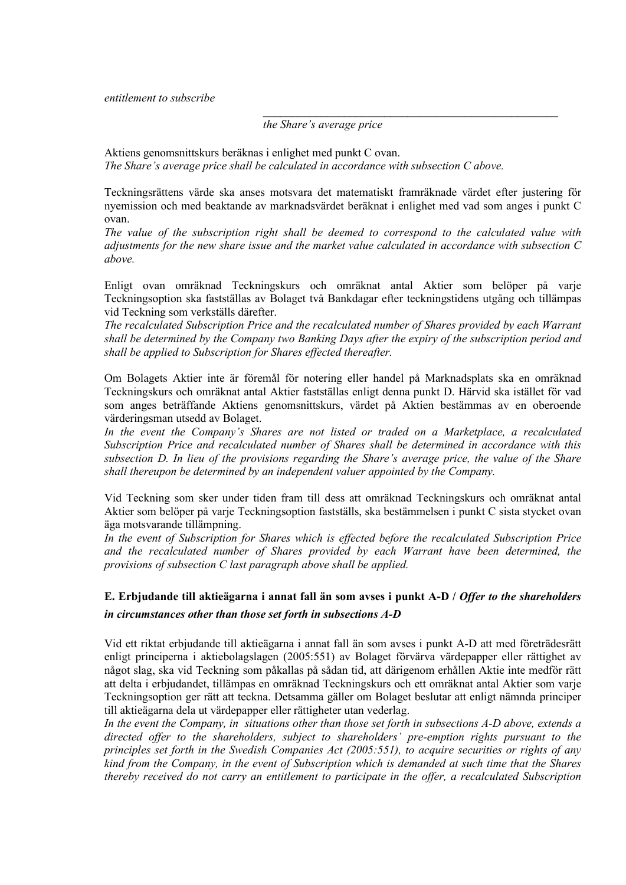#### *entitlement to subscribe*

#### *the Share's average price*

Aktiens genomsnittskurs beräknas i enlighet med punkt C ovan. *The Share's average price shall be calculated in accordance with subsection C above.*

Teckningsrättens värde ska anses motsvara det matematiskt framräknade värdet efter justering för nyemission och med beaktande av marknadsvärdet beräknat i enlighet med vad som anges i punkt C ovan.

*\_\_\_\_\_\_\_\_\_\_\_\_\_\_\_\_\_\_\_\_\_\_\_\_\_\_\_\_\_\_\_\_\_\_\_\_\_\_\_\_\_\_\_\_\_\_\_\_\_\_\_*

*The value of the subscription right shall be deemed to correspond to the calculated value with adjustments for the new share issue and the market value calculated in accordance with subsection C above.*

Enligt ovan omräknad Teckningskurs och omräknat antal Aktier som belöper på varje Teckningsoption ska fastställas av Bolaget två Bankdagar efter teckningstidens utgång och tillämpas vid Teckning som verkställs därefter.

*The recalculated Subscription Price and the recalculated number of Shares provided by each Warrant shall be determined by the Company two Banking Days after the expiry of the subscription period and shall be applied to Subscription for Shares effected thereafter.*

Om Bolagets Aktier inte är föremål för notering eller handel på Marknadsplats ska en omräknad Teckningskurs och omräknat antal Aktier fastställas enligt denna punkt D. Härvid ska istället för vad som anges beträffande Aktiens genomsnittskurs, värdet på Aktien bestämmas av en oberoende värderingsman utsedd av Bolaget.

*In the event the Company's Shares are not listed or traded on a Marketplace, a recalculated Subscription Price and recalculated number of Shares shall be determined in accordance with this subsection D. In lieu of the provisions regarding the Share's average price, the value of the Share shall thereupon be determined by an independent valuer appointed by the Company.*

Vid Teckning som sker under tiden fram till dess att omräknad Teckningskurs och omräknat antal Aktier som belöper på varje Teckningsoption fastställs, ska bestämmelsen i punkt C sista stycket ovan äga motsvarande tillämpning.

*In the event of Subscription for Shares which is effected before the recalculated Subscription Price and the recalculated number of Shares provided by each Warrant have been determined, the provisions of subsection C last paragraph above shall be applied.*

# **E. Erbjudande till aktieägarna i annat fall än som avses i punkt A-D /** *Offer to the shareholders in circumstances other than those set forth in subsections A-D*

Vid ett riktat erbjudande till aktieägarna i annat fall än som avses i punkt A-D att med företrädesrätt enligt principerna i aktiebolagslagen (2005:551) av Bolaget förvärva värdepapper eller rättighet av något slag, ska vid Teckning som påkallas på sådan tid, att därigenom erhållen Aktie inte medför rätt att delta i erbjudandet, tillämpas en omräknad Teckningskurs och ett omräknat antal Aktier som varje Teckningsoption ger rätt att teckna. Detsamma gäller om Bolaget beslutar att enligt nämnda principer till aktieägarna dela ut värdepapper eller rättigheter utan vederlag.

*In the event the Company, in situations other than those set forth in subsections A-D above, extends a directed offer to the shareholders, subject to shareholders' pre-emption rights pursuant to the principles set forth in the Swedish Companies Act (2005:551), to acquire securities or rights of any kind from the Company, in the event of Subscription which is demanded at such time that the Shares thereby received do not carry an entitlement to participate in the offer, a recalculated Subscription*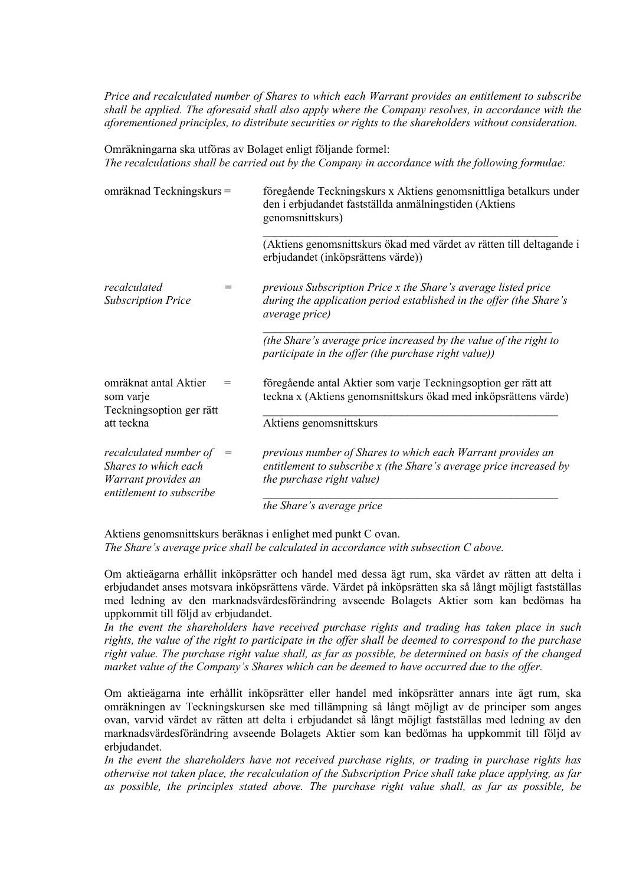*Price and recalculated number of Shares to which each Warrant provides an entitlement to subscribe shall be applied. The aforesaid shall also apply where the Company resolves, in accordance with the aforementioned principles, to distribute securities or rights to the shareholders without consideration.*

Omräkningarna ska utföras av Bolaget enligt följande formel: *The recalculations shall be carried out by the Company in accordance with the following formulae:*

| omräknad Teckningskurs =                                                                          |     | föregående Teckningskurs x Aktiens genomsnittliga betalkurs under<br>den i erbjudandet fastställda anmälningstiden (Aktiens<br>genomsnittskurs)                 |  |  |
|---------------------------------------------------------------------------------------------------|-----|-----------------------------------------------------------------------------------------------------------------------------------------------------------------|--|--|
|                                                                                                   |     | (Aktiens genomsnittskurs ökad med värdet av rätten till deltagande i<br>erbjudandet (inköpsrättens värde))                                                      |  |  |
| recalculated<br><b>Subscription Price</b>                                                         | =   | previous Subscription Price x the Share's average listed price<br>during the application period established in the offer (the Share's<br><i>average price</i> ) |  |  |
|                                                                                                   |     | (the Share's average price increased by the value of the right to<br>participate in the offer (the purchase right value))                                       |  |  |
| omräknat antal Aktier<br>som varje<br>Teckningsoption ger rätt                                    | =   | föregående antal Aktier som varje Teckningsoption ger rätt att<br>teckna x (Aktiens genomsnittskurs ökad med inköpsrättens värde)                               |  |  |
| att teckna                                                                                        |     | Aktiens genomsnittskurs                                                                                                                                         |  |  |
| recalculated number of<br>Shares to which each<br>Warrant provides an<br>entitlement to subscribe | $=$ | previous number of Shares to which each Warrant provides an<br>entitlement to subscribe x (the Share's average price increased by<br>the purchase right value)  |  |  |
|                                                                                                   |     | the Share's average price                                                                                                                                       |  |  |

Aktiens genomsnittskurs beräknas i enlighet med punkt C ovan. *The Share's average price shall be calculated in accordance with subsection C above.*

Om aktieägarna erhållit inköpsrätter och handel med dessa ägt rum, ska värdet av rätten att delta i erbjudandet anses motsvara inköpsrättens värde. Värdet på inköpsrätten ska så långt möjligt fastställas med ledning av den marknadsvärdesförändring avseende Bolagets Aktier som kan bedömas ha uppkommit till följd av erbjudandet.

*In the event the shareholders have received purchase rights and trading has taken place in such rights, the value of the right to participate in the offer shall be deemed to correspond to the purchase right value. The purchase right value shall, as far as possible, be determined on basis of the changed market value of the Company's Shares which can be deemed to have occurred due to the offer.*

Om aktieägarna inte erhållit inköpsrätter eller handel med inköpsrätter annars inte ägt rum, ska omräkningen av Teckningskursen ske med tillämpning så långt möjligt av de principer som anges ovan, varvid värdet av rätten att delta i erbjudandet så långt möjligt fastställas med ledning av den marknadsvärdesförändring avseende Bolagets Aktier som kan bedömas ha uppkommit till följd av erbjudandet.

*In the event the shareholders have not received purchase rights, or trading in purchase rights has otherwise not taken place, the recalculation of the Subscription Price shall take place applying, as far as possible, the principles stated above. The purchase right value shall, as far as possible, be*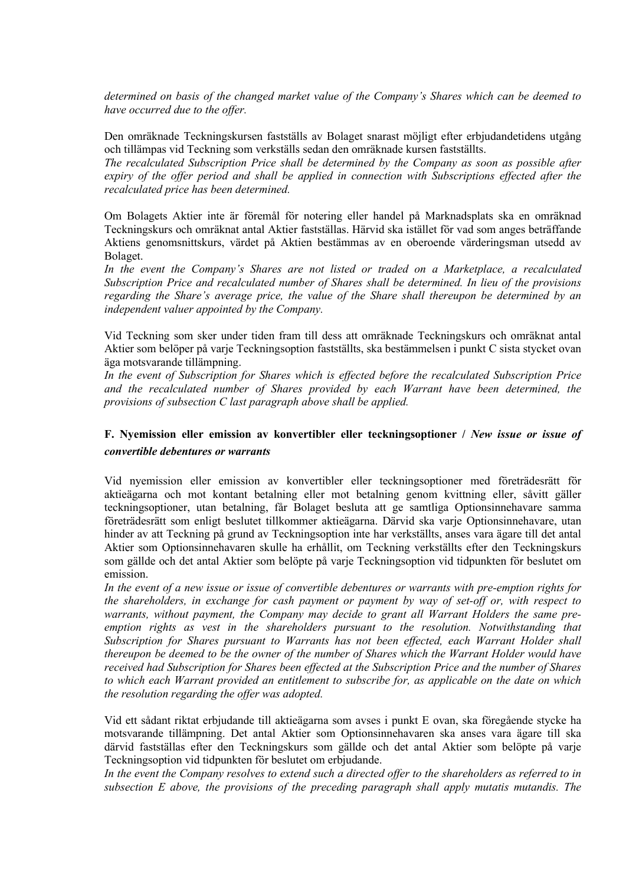*determined on basis of the changed market value of the Company's Shares which can be deemed to have occurred due to the offer.*

Den omräknade Teckningskursen fastställs av Bolaget snarast möjligt efter erbjudandetidens utgång och tillämpas vid Teckning som verkställs sedan den omräknade kursen fastställts.

*The recalculated Subscription Price shall be determined by the Company as soon as possible after expiry of the offer period and shall be applied in connection with Subscriptions effected after the recalculated price has been determined.*

Om Bolagets Aktier inte är föremål för notering eller handel på Marknadsplats ska en omräknad Teckningskurs och omräknat antal Aktier fastställas. Härvid ska istället för vad som anges beträffande Aktiens genomsnittskurs, värdet på Aktien bestämmas av en oberoende värderingsman utsedd av Bolaget.

*In the event the Company's Shares are not listed or traded on a Marketplace, a recalculated Subscription Price and recalculated number of Shares shall be determined. In lieu of the provisions regarding the Share's average price, the value of the Share shall thereupon be determined by an independent valuer appointed by the Company.*

Vid Teckning som sker under tiden fram till dess att omräknade Teckningskurs och omräknat antal Aktier som belöper på varje Teckningsoption fastställts, ska bestämmelsen i punkt C sista stycket ovan äga motsvarande tillämpning.

*In the event of Subscription for Shares which is effected before the recalculated Subscription Price and the recalculated number of Shares provided by each Warrant have been determined, the provisions of subsection C last paragraph above shall be applied.*

# **F. Nyemission eller emission av konvertibler eller teckningsoptioner /** *New issue or issue of convertible debentures or warrants*

Vid nyemission eller emission av konvertibler eller teckningsoptioner med företrädesrätt för aktieägarna och mot kontant betalning eller mot betalning genom kvittning eller, såvitt gäller teckningsoptioner, utan betalning, får Bolaget besluta att ge samtliga Optionsinnehavare samma företrädesrätt som enligt beslutet tillkommer aktieägarna. Därvid ska varje Optionsinnehavare, utan hinder av att Teckning på grund av Teckningsoption inte har verkställts, anses vara ägare till det antal Aktier som Optionsinnehavaren skulle ha erhållit, om Teckning verkställts efter den Teckningskurs som gällde och det antal Aktier som belöpte på varje Teckningsoption vid tidpunkten för beslutet om emission.

*In the event of a new issue or issue of convertible debentures or warrants with pre-emption rights for the shareholders, in exchange for cash payment or payment by way of set-off or, with respect to warrants, without payment, the Company may decide to grant all Warrant Holders the same preemption rights as vest in the shareholders pursuant to the resolution. Notwithstanding that Subscription for Shares pursuant to Warrants has not been effected, each Warrant Holder shall thereupon be deemed to be the owner of the number of Shares which the Warrant Holder would have received had Subscription for Shares been effected at the Subscription Price and the number of Shares to which each Warrant provided an entitlement to subscribe for, as applicable on the date on which the resolution regarding the offer was adopted.*

Vid ett sådant riktat erbjudande till aktieägarna som avses i punkt E ovan, ska föregående stycke ha motsvarande tillämpning. Det antal Aktier som Optionsinnehavaren ska anses vara ägare till ska därvid fastställas efter den Teckningskurs som gällde och det antal Aktier som belöpte på varje Teckningsoption vid tidpunkten för beslutet om erbjudande.

*In the event the Company resolves to extend such a directed offer to the shareholders as referred to in subsection E above, the provisions of the preceding paragraph shall apply mutatis mutandis. The*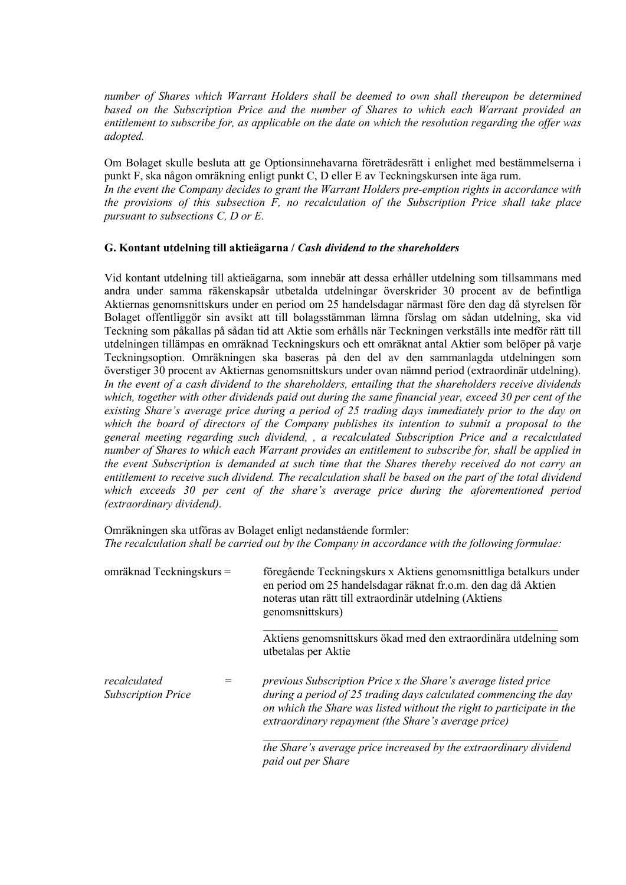*number of Shares which Warrant Holders shall be deemed to own shall thereupon be determined based on the Subscription Price and the number of Shares to which each Warrant provided an entitlement to subscribe for, as applicable on the date on which the resolution regarding the offer was adopted.*

Om Bolaget skulle besluta att ge Optionsinnehavarna företrädesrätt i enlighet med bestämmelserna i punkt F, ska någon omräkning enligt punkt C, D eller E av Teckningskursen inte äga rum. *In the event the Company decides to grant the Warrant Holders pre-emption rights in accordance with* 

*the provisions of this subsection F, no recalculation of the Subscription Price shall take place pursuant to subsections C, D or E.*

# **G. Kontant utdelning till aktieägarna /** *Cash dividend to the shareholders*

Vid kontant utdelning till aktieägarna, som innebär att dessa erhåller utdelning som tillsammans med andra under samma räkenskapsår utbetalda utdelningar överskrider 30 procent av de befintliga Aktiernas genomsnittskurs under en period om 25 handelsdagar närmast före den dag då styrelsen för Bolaget offentliggör sin avsikt att till bolagsstämman lämna förslag om sådan utdelning, ska vid Teckning som påkallas på sådan tid att Aktie som erhålls när Teckningen verkställs inte medför rätt till utdelningen tillämpas en omräknad Teckningskurs och ett omräknat antal Aktier som belöper på varje Teckningsoption. Omräkningen ska baseras på den del av den sammanlagda utdelningen som överstiger 30 procent av Aktiernas genomsnittskurs under ovan nämnd period (extraordinär utdelning). *In the event of a cash dividend to the shareholders, entailing that the shareholders receive dividends which, together with other dividends paid out during the same financial year, exceed 30 per cent of the existing Share's average price during a period of 25 trading days immediately prior to the day on which the board of directors of the Company publishes its intention to submit a proposal to the general meeting regarding such dividend, , a recalculated Subscription Price and a recalculated number of Shares to which each Warrant provides an entitlement to subscribe for, shall be applied in the event Subscription is demanded at such time that the Shares thereby received do not carry an entitlement to receive such dividend. The recalculation shall be based on the part of the total dividend which exceeds 30 per cent of the share's average price during the aforementioned period (extraordinary dividend).*

Omräkningen ska utföras av Bolaget enligt nedanstående formler: *The recalculation shall be carried out by the Company in accordance with the following formulae:*

omräknad Teckningskurs = föregående Teckningskurs x Aktiens genomsnittliga betalkurs under en period om 25 handelsdagar räknat fr.o.m. den dag då Aktien noteras utan rätt till extraordinär utdelning (Aktiens genomsnittskurs) \_\_\_\_\_\_\_\_\_\_\_\_\_\_\_\_\_\_\_\_\_\_\_\_\_\_\_\_\_\_\_\_\_\_\_\_\_\_\_\_\_\_\_\_\_\_\_\_\_\_\_ Aktiens genomsnittskurs ökad med den extraordinära utdelning som utbetalas per Aktie *recalculated Subscription Price = previous Subscription Price x the Share's average listed price during a period of 25 trading days calculated commencing the day* 

> *\_\_\_\_\_\_\_\_\_\_\_\_\_\_\_\_\_\_\_\_\_\_\_\_\_\_\_\_\_\_\_\_\_\_\_\_\_\_\_\_\_\_\_\_\_\_\_\_\_\_\_ the Share's average price increased by the extraordinary dividend paid out per Share*

*on which the Share was listed without the right to participate in the* 

*extraordinary repayment (the Share's average price)*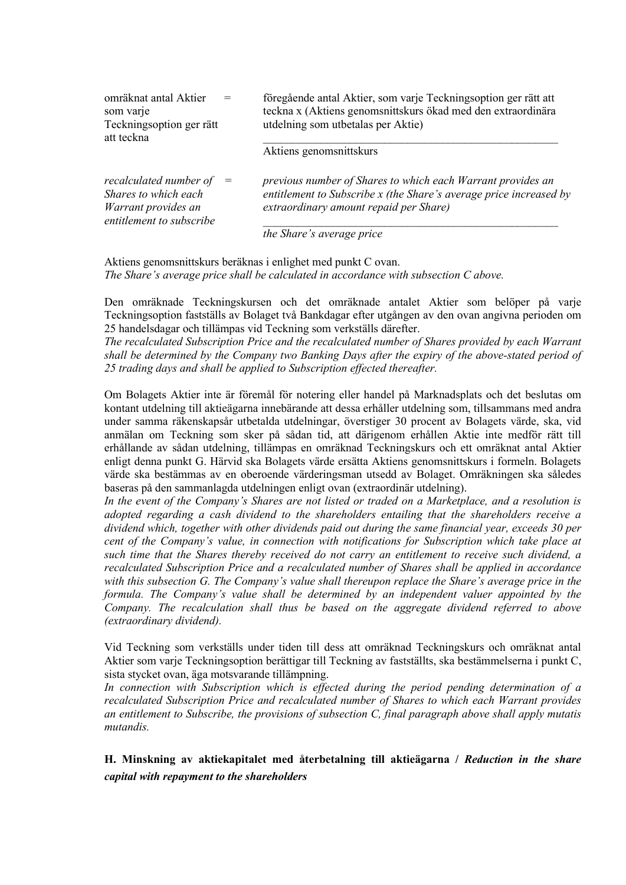| omräknat antal Aktier<br>som varje<br>Teckningsoption ger rätt<br>att teckna                          | föregående antal Aktier, som varje Teckningsoption ger rätt att<br>teckna x (Aktiens genomsnittskurs ökad med den extraordinära<br>utdelning som utbetalas per Aktie)       |
|-------------------------------------------------------------------------------------------------------|-----------------------------------------------------------------------------------------------------------------------------------------------------------------------------|
|                                                                                                       | Aktiens genomsnittskurs                                                                                                                                                     |
| recalculated number of $=$<br>Shares to which each<br>Warrant provides an<br>entitlement to subscribe | previous number of Shares to which each Warrant provides an<br>entitlement to Subscribe x (the Share's average price increased by<br>extraordinary amount repaid per Share) |
|                                                                                                       | the Share's average price                                                                                                                                                   |

Aktiens genomsnittskurs beräknas i enlighet med punkt C ovan. *The Share's average price shall be calculated in accordance with subsection C above.*

Den omräknade Teckningskursen och det omräknade antalet Aktier som belöper på varje Teckningsoption fastställs av Bolaget två Bankdagar efter utgången av den ovan angivna perioden om 25 handelsdagar och tillämpas vid Teckning som verkställs därefter.

*The recalculated Subscription Price and the recalculated number of Shares provided by each Warrant shall be determined by the Company two Banking Days after the expiry of the above-stated period of 25 trading days and shall be applied to Subscription effected thereafter.*

Om Bolagets Aktier inte är föremål för notering eller handel på Marknadsplats och det beslutas om kontant utdelning till aktieägarna innebärande att dessa erhåller utdelning som, tillsammans med andra under samma räkenskapsår utbetalda utdelningar, överstiger 30 procent av Bolagets värde, ska, vid anmälan om Teckning som sker på sådan tid, att därigenom erhållen Aktie inte medför rätt till erhållande av sådan utdelning, tillämpas en omräknad Teckningskurs och ett omräknat antal Aktier enligt denna punkt G. Härvid ska Bolagets värde ersätta Aktiens genomsnittskurs i formeln. Bolagets värde ska bestämmas av en oberoende värderingsman utsedd av Bolaget. Omräkningen ska således baseras på den sammanlagda utdelningen enligt ovan (extraordinär utdelning).

*In the event of the Company's Shares are not listed or traded on a Marketplace, and a resolution is adopted regarding a cash dividend to the shareholders entailing that the shareholders receive a dividend which, together with other dividends paid out during the same financial year, exceeds 30 per cent of the Company's value, in connection with notifications for Subscription which take place at such time that the Shares thereby received do not carry an entitlement to receive such dividend, a recalculated Subscription Price and a recalculated number of Shares shall be applied in accordance with this subsection G. The Company's value shall thereupon replace the Share's average price in the formula. The Company's value shall be determined by an independent valuer appointed by the Company. The recalculation shall thus be based on the aggregate dividend referred to above (extraordinary dividend).*

Vid Teckning som verkställs under tiden till dess att omräknad Teckningskurs och omräknat antal Aktier som varje Teckningsoption berättigar till Teckning av fastställts, ska bestämmelserna i punkt C, sista stycket ovan, äga motsvarande tillämpning.

*In connection with Subscription which is effected during the period pending determination of a recalculated Subscription Price and recalculated number of Shares to which each Warrant provides an entitlement to Subscribe, the provisions of subsection C, final paragraph above shall apply mutatis mutandis.*

**H. Minskning av aktiekapitalet med återbetalning till aktieägarna /** *Reduction in the share capital with repayment to the shareholders*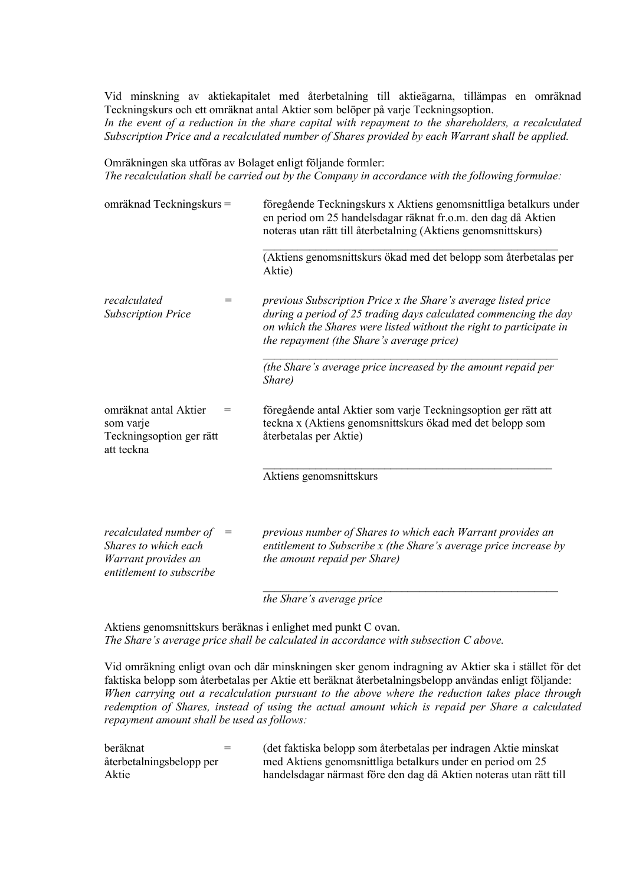Vid minskning av aktiekapitalet med återbetalning till aktieägarna, tillämpas en omräknad Teckningskurs och ett omräknat antal Aktier som belöper på varje Teckningsoption. *In the event of a reduction in the share capital with repayment to the shareholders, a recalculated Subscription Price and a recalculated number of Shares provided by each Warrant shall be applied.*

Omräkningen ska utföras av Bolaget enligt följande formler: *The recalculation shall be carried out by the Company in accordance with the following formulae:*

| omräknad Teckningskurs =                                                                          |                                     | föregående Teckningskurs x Aktiens genomsnittliga betalkurs under<br>en period om 25 handelsdagar räknat fr.o.m. den dag då Aktien<br>noteras utan rätt till återbetalning (Aktiens genomsnittskurs)                                                          |  |
|---------------------------------------------------------------------------------------------------|-------------------------------------|---------------------------------------------------------------------------------------------------------------------------------------------------------------------------------------------------------------------------------------------------------------|--|
|                                                                                                   |                                     | (Aktiens genomsnittskurs ökad med det belopp som återbetalas per<br>Aktie)                                                                                                                                                                                    |  |
| recalculated<br><b>Subscription Price</b>                                                         | $=$                                 | previous Subscription Price x the Share's average listed price<br>during a period of 25 trading days calculated commencing the day<br>on which the Shares were listed without the right to participate in<br><i>the repayment (the Share's average price)</i> |  |
|                                                                                                   |                                     | (the Share's average price increased by the amount repaid per<br>Share)                                                                                                                                                                                       |  |
| omräknat antal Aktier<br>som varje<br>Teckningsoption ger rätt<br>att teckna                      |                                     | föregående antal Aktier som varje Teckningsoption ger rätt att<br>teckna x (Aktiens genomsnittskurs ökad med det belopp som<br>återbetalas per Aktie)                                                                                                         |  |
|                                                                                                   |                                     | Aktiens genomsnittskurs                                                                                                                                                                                                                                       |  |
| recalculated number of<br>Shares to which each<br>Warrant provides an<br>entitlement to subscribe | $\hspace*{0.4em} = \hspace*{0.4em}$ | previous number of Shares to which each Warrant provides an<br>entitlement to Subscribe x (the Share's average price increase by<br>the amount repaid per Share)                                                                                              |  |

*the Share's average price*

Aktiens genomsnittskurs beräknas i enlighet med punkt C ovan. *The Share's average price shall be calculated in accordance with subsection C above.*

Vid omräkning enligt ovan och där minskningen sker genom indragning av Aktier ska i stället för det faktiska belopp som återbetalas per Aktie ett beräknat återbetalningsbelopp användas enligt följande: *When carrying out a recalculation pursuant to the above where the reduction takes place through redemption of Shares, instead of using the actual amount which is repaid per Share a calculated repayment amount shall be used as follows:*

| beräknat                 | $=$ | (det faktiska belopp som återbetalas per indragen Aktie minskat    |
|--------------------------|-----|--------------------------------------------------------------------|
| återbetalningsbelopp per |     | med Aktiens genomsnittliga betalkurs under en period om 25         |
| Aktie                    |     | handelsdagar närmast före den dag då Aktien noteras utan rätt till |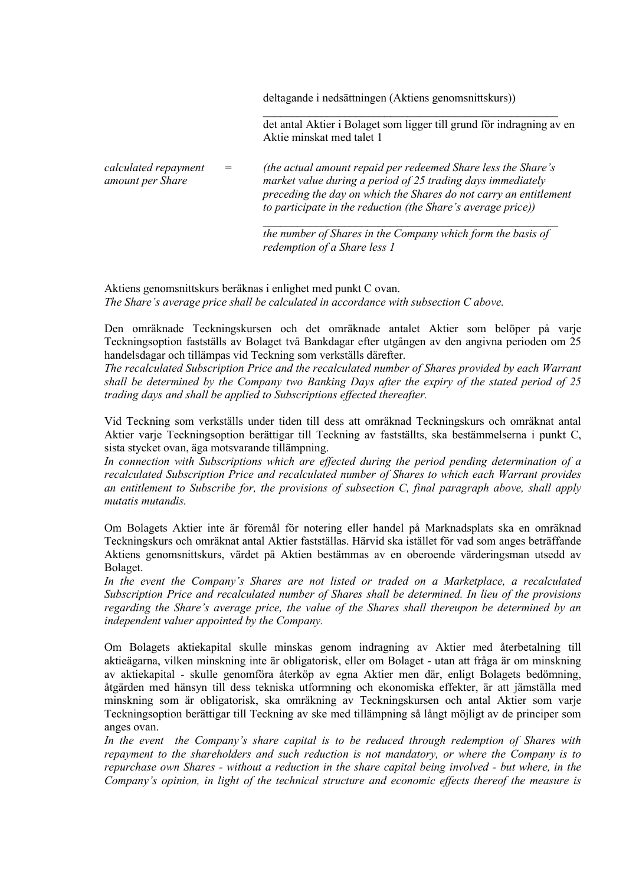deltagande i nedsättningen (Aktiens genomsnittskurs))

det antal Aktier i Bolaget som ligger till grund för indragning av en Aktie minskat med talet 1

\_\_\_\_\_\_\_\_\_\_\_\_\_\_\_\_\_\_\_\_\_\_\_\_\_\_\_\_\_\_\_\_\_\_\_\_\_\_\_\_\_\_\_\_\_\_\_\_\_\_\_

*calculated repayment amount per Share = (the actual amount repaid per redeemed Share less the Share's market value during a period of 25 trading days immediately preceding the day on which the Shares do not carry an entitlement to participate in the reduction (the Share's average price))*

> *\_\_\_\_\_\_\_\_\_\_\_\_\_\_\_\_\_\_\_\_\_\_\_\_\_\_\_\_\_\_\_\_\_\_\_\_\_\_\_\_\_\_\_\_\_\_\_\_\_\_\_ the number of Shares in the Company which form the basis of redemption of a Share less 1*

Aktiens genomsnittskurs beräknas i enlighet med punkt C ovan. *The Share's average price shall be calculated in accordance with subsection C above.*

Den omräknade Teckningskursen och det omräknade antalet Aktier som belöper på varje Teckningsoption fastställs av Bolaget två Bankdagar efter utgången av den angivna perioden om 25 handelsdagar och tillämpas vid Teckning som verkställs därefter.

*The recalculated Subscription Price and the recalculated number of Shares provided by each Warrant shall be determined by the Company two Banking Days after the expiry of the stated period of 25 trading days and shall be applied to Subscriptions effected thereafter.*

Vid Teckning som verkställs under tiden till dess att omräknad Teckningskurs och omräknat antal Aktier varje Teckningsoption berättigar till Teckning av fastställts, ska bestämmelserna i punkt C, sista stycket ovan, äga motsvarande tillämpning.

*In connection with Subscriptions which are effected during the period pending determination of a recalculated Subscription Price and recalculated number of Shares to which each Warrant provides an entitlement to Subscribe for, the provisions of subsection C, final paragraph above, shall apply mutatis mutandis.*

Om Bolagets Aktier inte är föremål för notering eller handel på Marknadsplats ska en omräknad Teckningskurs och omräknat antal Aktier fastställas. Härvid ska istället för vad som anges beträffande Aktiens genomsnittskurs, värdet på Aktien bestämmas av en oberoende värderingsman utsedd av Bolaget.

In the event the Company's Shares are not listed or traded on a Marketplace, a recalculated *Subscription Price and recalculated number of Shares shall be determined. In lieu of the provisions regarding the Share's average price, the value of the Shares shall thereupon be determined by an independent valuer appointed by the Company.*

Om Bolagets aktiekapital skulle minskas genom indragning av Aktier med återbetalning till aktieägarna, vilken minskning inte är obligatorisk, eller om Bolaget - utan att fråga är om minskning av aktiekapital - skulle genomföra återköp av egna Aktier men där, enligt Bolagets bedömning, åtgärden med hänsyn till dess tekniska utformning och ekonomiska effekter, är att jämställa med minskning som är obligatorisk, ska omräkning av Teckningskursen och antal Aktier som varje Teckningsoption berättigar till Teckning av ske med tillämpning så långt möjligt av de principer som anges ovan.

*In the event the Company's share capital is to be reduced through redemption of Shares with repayment to the shareholders and such reduction is not mandatory, or where the Company is to repurchase own Shares - without a reduction in the share capital being involved - but where, in the Company's opinion, in light of the technical structure and economic effects thereof the measure is*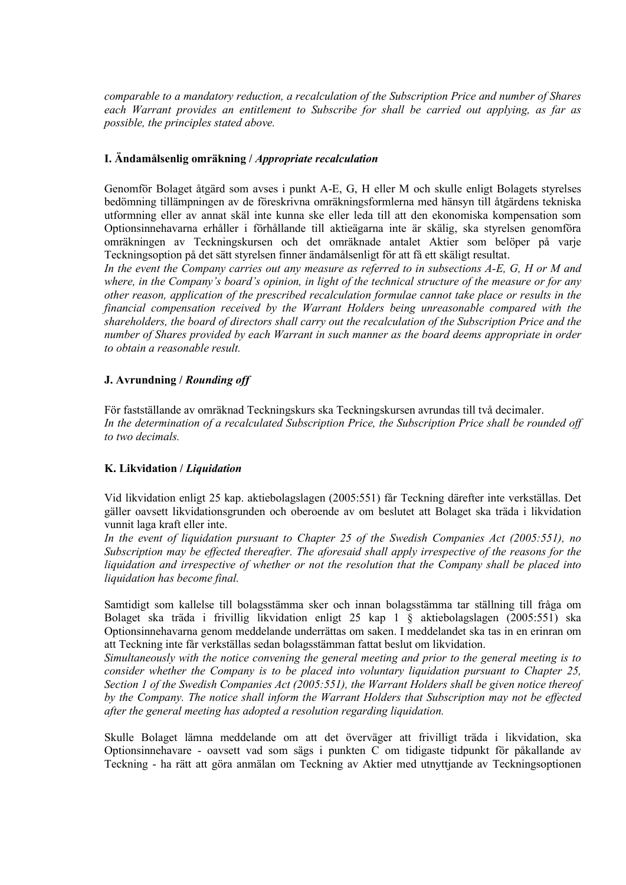*comparable to a mandatory reduction, a recalculation of the Subscription Price and number of Shares each Warrant provides an entitlement to Subscribe for shall be carried out applying, as far as possible, the principles stated above.*

# **I. Ändamålsenlig omräkning /** *Appropriate recalculation*

Genomför Bolaget åtgärd som avses i punkt A-E, G, H eller M och skulle enligt Bolagets styrelses bedömning tillämpningen av de föreskrivna omräkningsformlerna med hänsyn till åtgärdens tekniska utformning eller av annat skäl inte kunna ske eller leda till att den ekonomiska kompensation som Optionsinnehavarna erhåller i förhållande till aktieägarna inte är skälig, ska styrelsen genomföra omräkningen av Teckningskursen och det omräknade antalet Aktier som belöper på varje Teckningsoption på det sätt styrelsen finner ändamålsenligt för att få ett skäligt resultat.

*In the event the Company carries out any measure as referred to in subsections A-E, G, H or M and where, in the Company's board's opinion, in light of the technical structure of the measure or for any other reason, application of the prescribed recalculation formulae cannot take place or results in the financial compensation received by the Warrant Holders being unreasonable compared with the shareholders, the board of directors shall carry out the recalculation of the Subscription Price and the number of Shares provided by each Warrant in such manner as the board deems appropriate in order to obtain a reasonable result.*

# **J. Avrundning /** *Rounding off*

För fastställande av omräknad Teckningskurs ska Teckningskursen avrundas till två decimaler. *In the determination of a recalculated Subscription Price, the Subscription Price shall be rounded off to two decimals.*

### **K. Likvidation /** *Liquidation*

Vid likvidation enligt 25 kap. aktiebolagslagen (2005:551) får Teckning därefter inte verkställas. Det gäller oavsett likvidationsgrunden och oberoende av om beslutet att Bolaget ska träda i likvidation vunnit laga kraft eller inte.

*In the event of liquidation pursuant to Chapter 25 of the Swedish Companies Act (2005:551), no Subscription may be effected thereafter. The aforesaid shall apply irrespective of the reasons for the liquidation and irrespective of whether or not the resolution that the Company shall be placed into liquidation has become final.*

Samtidigt som kallelse till bolagsstämma sker och innan bolagsstämma tar ställning till fråga om Bolaget ska träda i frivillig likvidation enligt 25 kap 1 § aktiebolagslagen (2005:551) ska Optionsinnehavarna genom meddelande underrättas om saken. I meddelandet ska tas in en erinran om att Teckning inte får verkställas sedan bolagsstämman fattat beslut om likvidation.

*Simultaneously with the notice convening the general meeting and prior to the general meeting is to consider whether the Company is to be placed into voluntary liquidation pursuant to Chapter 25, Section 1 of the Swedish Companies Act (2005:551), the Warrant Holders shall be given notice thereof by the Company. The notice shall inform the Warrant Holders that Subscription may not be effected after the general meeting has adopted a resolution regarding liquidation.*

Skulle Bolaget lämna meddelande om att det överväger att frivilligt träda i likvidation, ska Optionsinnehavare - oavsett vad som sägs i punkten C om tidigaste tidpunkt för påkallande av Teckning - ha rätt att göra anmälan om Teckning av Aktier med utnyttjande av Teckningsoptionen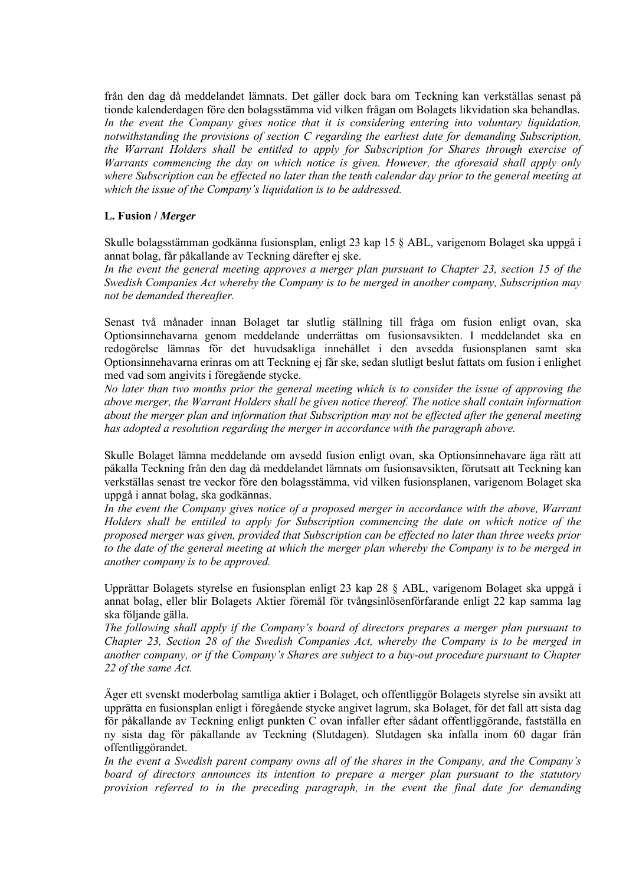från den dag då meddelandet lämnats. Det gäller dock bara om Teckning kan verkställas senast på tionde kalenderdagen före den bolagsstämma vid vilken frågan om Bolagets likvidation ska behandlas. *In the event the Company gives notice that it is considering entering into voluntary liquidation, notwithstanding the provisions of section C regarding the earliest date for demanding Subscription, the Warrant Holders shall be entitled to apply for Subscription for Shares through exercise of Warrants commencing the day on which notice is given. However, the aforesaid shall apply only where Subscription can be effected no later than the tenth calendar day prior to the general meeting at which the issue of the Company's liquidation is to be addressed.*

#### **L. Fusion /** *Merger*

Skulle bolagsstämman godkänna fusionsplan, enligt 23 kap 15 § ABL, varigenom Bolaget ska uppgå i annat bolag, får påkallande av Teckning därefter ej ske.

In the event the general meeting approves a merger plan pursuant to Chapter 23, section 15 of the *Swedish Companies Act whereby the Company is to be merged in another company, Subscription may not be demanded thereafter.*

Senast två månader innan Bolaget tar slutlig ställning till fråga om fusion enligt ovan, ska Optionsinnehavarna genom meddelande underrättas om fusionsavsikten. I meddelandet ska en redogörelse lämnas för det huvudsakliga innehållet i den avsedda fusionsplanen samt ska Optionsinnehavarna erinras om att Teckning ej får ske, sedan slutligt beslut fattats om fusion i enlighet med vad som angivits i föregående stycke.

*No later than two months prior the general meeting which is to consider the issue of approving the above merger, the Warrant Holders shall be given notice thereof. The notice shall contain information about the merger plan and information that Subscription may not be effected after the general meeting has adopted a resolution regarding the merger in accordance with the paragraph above.*

Skulle Bolaget lämna meddelande om avsedd fusion enligt ovan, ska Optionsinnehavare äga rätt att påkalla Teckning från den dag då meddelandet lämnats om fusionsavsikten, förutsatt att Teckning kan verkställas senast tre veckor före den bolagsstämma, vid vilken fusionsplanen, varigenom Bolaget ska uppgå i annat bolag, ska godkännas.

*In the event the Company gives notice of a proposed merger in accordance with the above, Warrant Holders shall be entitled to apply for Subscription commencing the date on which notice of the proposed merger was given, provided that Subscription can be effected no later than three weeks prior to the date of the general meeting at which the merger plan whereby the Company is to be merged in another company is to be approved.*

Upprättar Bolagets styrelse en fusionsplan enligt 23 kap 28 § ABL, varigenom Bolaget ska uppgå i annat bolag, eller blir Bolagets Aktier föremål för tvångsinlösenförfarande enligt 22 kap samma lag ska följande gälla.

*The following shall apply if the Company's board of directors prepares a merger plan pursuant to Chapter 23, Section 28 of the Swedish Companies Act, whereby the Company is to be merged in another company, or if the Company's Shares are subject to a buy-out procedure pursuant to Chapter 22 of the same Act.*

Äger ett svenskt moderbolag samtliga aktier i Bolaget, och offentliggör Bolagets styrelse sin avsikt att upprätta en fusionsplan enligt i föregående stycke angivet lagrum, ska Bolaget, för det fall att sista dag för påkallande av Teckning enligt punkten C ovan infaller efter sådant offentliggörande, fastställa en ny sista dag för påkallande av Teckning (Slutdagen). Slutdagen ska infalla inom 60 dagar från offentliggörandet.

*In the event a Swedish parent company owns all of the shares in the Company, and the Company's board of directors announces its intention to prepare a merger plan pursuant to the statutory provision referred to in the preceding paragraph, in the event the final date for demanding*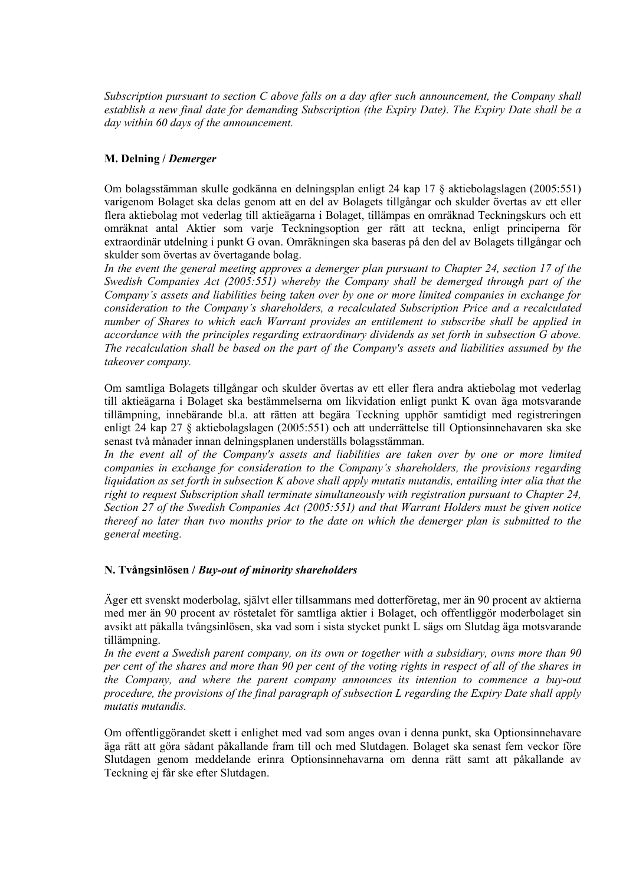*Subscription pursuant to section C above falls on a day after such announcement, the Company shall establish a new final date for demanding Subscription (the Expiry Date). The Expiry Date shall be a day within 60 days of the announcement.*

## **M. Delning /** *Demerger*

Om bolagsstämman skulle godkänna en delningsplan enligt 24 kap 17 § aktiebolagslagen (2005:551) varigenom Bolaget ska delas genom att en del av Bolagets tillgångar och skulder övertas av ett eller flera aktiebolag mot vederlag till aktieägarna i Bolaget, tillämpas en omräknad Teckningskurs och ett omräknat antal Aktier som varje Teckningsoption ger rätt att teckna, enligt principerna för extraordinär utdelning i punkt G ovan. Omräkningen ska baseras på den del av Bolagets tillgångar och skulder som övertas av övertagande bolag.

In the event the general meeting approves a demerger plan pursuant to Chapter 24, section 17 of the *Swedish Companies Act (2005:551) whereby the Company shall be demerged through part of the Company's assets and liabilities being taken over by one or more limited companies in exchange for consideration to the Company's shareholders, a recalculated Subscription Price and a recalculated number of Shares to which each Warrant provides an entitlement to subscribe shall be applied in accordance with the principles regarding extraordinary dividends as set forth in subsection G above. The recalculation shall be based on the part of the Company's assets and liabilities assumed by the takeover company.*

Om samtliga Bolagets tillgångar och skulder övertas av ett eller flera andra aktiebolag mot vederlag till aktieägarna i Bolaget ska bestämmelserna om likvidation enligt punkt K ovan äga motsvarande tillämpning, innebärande bl.a. att rätten att begära Teckning upphör samtidigt med registreringen enligt 24 kap 27 § aktiebolagslagen (2005:551) och att underrättelse till Optionsinnehavaren ska ske senast två månader innan delningsplanen underställs bolagsstämman.

In the event all of the Company's assets and liabilities are taken over by one or more limited *companies in exchange for consideration to the Company's shareholders, the provisions regarding liquidation as set forth in subsection K above shall apply mutatis mutandis, entailing inter alia that the right to request Subscription shall terminate simultaneously with registration pursuant to Chapter 24, Section 27 of the Swedish Companies Act (2005:551) and that Warrant Holders must be given notice thereof no later than two months prior to the date on which the demerger plan is submitted to the general meeting.*

### **N. Tvångsinlösen /** *Buy-out of minority shareholders*

Äger ett svenskt moderbolag, självt eller tillsammans med dotterföretag, mer än 90 procent av aktierna med mer än 90 procent av röstetalet för samtliga aktier i Bolaget, och offentliggör moderbolaget sin avsikt att påkalla tvångsinlösen, ska vad som i sista stycket punkt L sägs om Slutdag äga motsvarande tillämpning.

*In the event a Swedish parent company, on its own or together with a subsidiary, owns more than 90 per cent of the shares and more than 90 per cent of the voting rights in respect of all of the shares in the Company, and where the parent company announces its intention to commence a buy-out procedure, the provisions of the final paragraph of subsection L regarding the Expiry Date shall apply mutatis mutandis.*

Om offentliggörandet skett i enlighet med vad som anges ovan i denna punkt, ska Optionsinnehavare äga rätt att göra sådant påkallande fram till och med Slutdagen. Bolaget ska senast fem veckor före Slutdagen genom meddelande erinra Optionsinnehavarna om denna rätt samt att påkallande av Teckning ej får ske efter Slutdagen.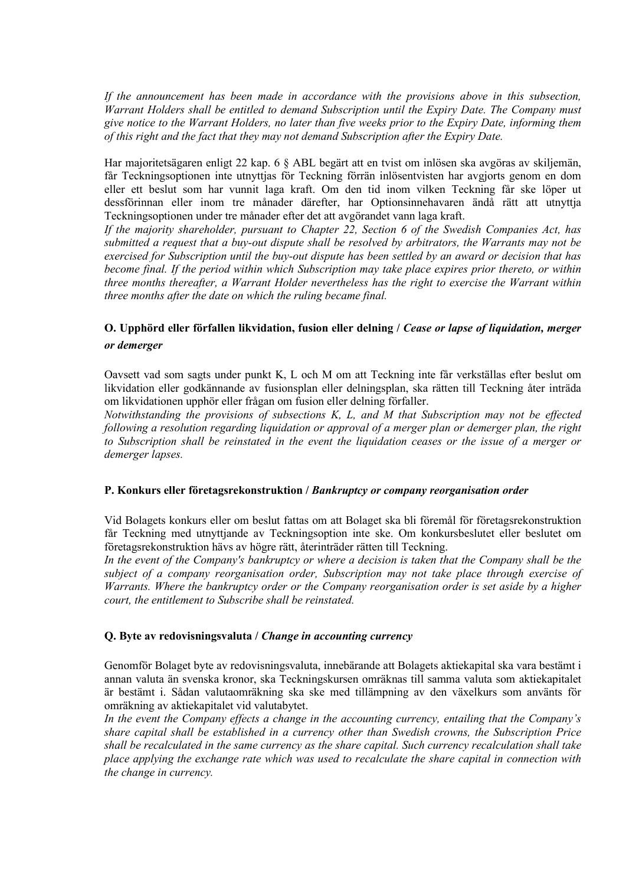*If the announcement has been made in accordance with the provisions above in this subsection, Warrant Holders shall be entitled to demand Subscription until the Expiry Date. The Company must give notice to the Warrant Holders, no later than five weeks prior to the Expiry Date, informing them of this right and the fact that they may not demand Subscription after the Expiry Date.*

Har majoritetsägaren enligt 22 kap. 6 § ABL begärt att en tvist om inlösen ska avgöras av skiljemän, får Teckningsoptionen inte utnyttjas för Teckning förrän inlösentvisten har avgjorts genom en dom eller ett beslut som har vunnit laga kraft. Om den tid inom vilken Teckning får ske löper ut dessförinnan eller inom tre månader därefter, har Optionsinnehavaren ändå rätt att utnyttja Teckningsoptionen under tre månader efter det att avgörandet vann laga kraft.

*If the majority shareholder, pursuant to Chapter 22, Section 6 of the Swedish Companies Act, has submitted a request that a buy-out dispute shall be resolved by arbitrators, the Warrants may not be exercised for Subscription until the buy-out dispute has been settled by an award or decision that has become final. If the period within which Subscription may take place expires prior thereto, or within three months thereafter, a Warrant Holder nevertheless has the right to exercise the Warrant within three months after the date on which the ruling became final.*

# **O. Upphörd eller förfallen likvidation, fusion eller delning /** *Cease or lapse of liquidation, merger or demerger*

Oavsett vad som sagts under punkt K, L och M om att Teckning inte får verkställas efter beslut om likvidation eller godkännande av fusionsplan eller delningsplan, ska rätten till Teckning åter inträda om likvidationen upphör eller frågan om fusion eller delning förfaller.

*Notwithstanding the provisions of subsections K, L, and M that Subscription may not be effected following a resolution regarding liquidation or approval of a merger plan or demerger plan, the right to Subscription shall be reinstated in the event the liquidation ceases or the issue of a merger or demerger lapses.*

## **P. Konkurs eller företagsrekonstruktion /** *Bankruptcy or company reorganisation order*

Vid Bolagets konkurs eller om beslut fattas om att Bolaget ska bli föremål för företagsrekonstruktion får Teckning med utnyttjande av Teckningsoption inte ske. Om konkursbeslutet eller beslutet om företagsrekonstruktion hävs av högre rätt, återinträder rätten till Teckning.

*In the event of the Company's bankruptcy or where a decision is taken that the Company shall be the subject of a company reorganisation order, Subscription may not take place through exercise of Warrants. Where the bankruptcy order or the Company reorganisation order is set aside by a higher court, the entitlement to Subscribe shall be reinstated.*

### **Q. Byte av redovisningsvaluta /** *Change in accounting currency*

Genomför Bolaget byte av redovisningsvaluta, innebärande att Bolagets aktiekapital ska vara bestämt i annan valuta än svenska kronor, ska Teckningskursen omräknas till samma valuta som aktiekapitalet är bestämt i. Sådan valutaomräkning ska ske med tillämpning av den växelkurs som använts för omräkning av aktiekapitalet vid valutabytet.

*In the event the Company effects a change in the accounting currency, entailing that the Company's share capital shall be established in a currency other than Swedish crowns, the Subscription Price shall be recalculated in the same currency as the share capital. Such currency recalculation shall take place applying the exchange rate which was used to recalculate the share capital in connection with the change in currency.*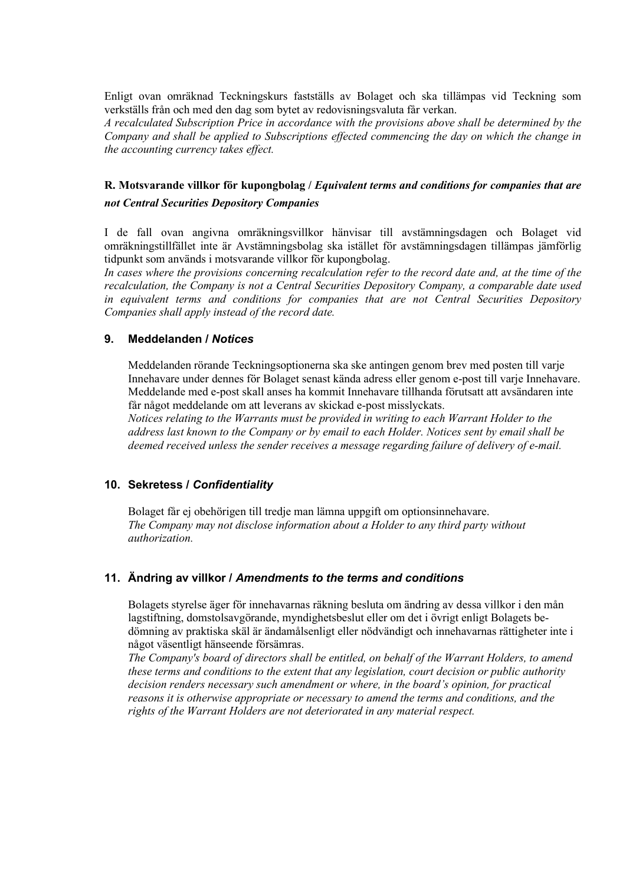Enligt ovan omräknad Teckningskurs fastställs av Bolaget och ska tillämpas vid Teckning som verkställs från och med den dag som bytet av redovisningsvaluta får verkan.

*A recalculated Subscription Price in accordance with the provisions above shall be determined by the Company and shall be applied to Subscriptions effected commencing the day on which the change in the accounting currency takes effect.*

# **R. Motsvarande villkor för kupongbolag /** *Equivalent terms and conditions for companies that are not Central Securities Depository Companies*

I de fall ovan angivna omräkningsvillkor hänvisar till avstämningsdagen och Bolaget vid omräkningstillfället inte är Avstämningsbolag ska istället för avstämningsdagen tillämpas jämförlig tidpunkt som används i motsvarande villkor för kupongbolag.

In cases where the provisions concerning recalculation refer to the record date and, at the time of the *recalculation, the Company is not a Central Securities Depository Company, a comparable date used in equivalent terms and conditions for companies that are not Central Securities Depository Companies shall apply instead of the record date.*

### **9. Meddelanden /** *Notices*

Meddelanden rörande Teckningsoptionerna ska ske antingen genom brev med posten till varje Innehavare under dennes för Bolaget senast kända adress eller genom e-post till varje Innehavare. Meddelande med e-post skall anses ha kommit Innehavare tillhanda förutsatt att avsändaren inte får något meddelande om att leverans av skickad e-post misslyckats.

*Notices relating to the Warrants must be provided in writing to each Warrant Holder to the address last known to the Company or by email to each Holder. Notices sent by email shall be deemed received unless the sender receives a message regarding failure of delivery of e-mail.*

### **10. Sekretess /** *Confidentiality*

Bolaget får ej obehörigen till tredje man lämna uppgift om optionsinnehavare. *The Company may not disclose information about a Holder to any third party without authorization.*

# **11. Ändring av villkor /** *Amendments to the terms and conditions*

Bolagets styrelse äger för innehavarnas räkning besluta om ändring av dessa villkor i den mån lagstiftning, domstolsavgörande, myndighetsbeslut eller om det i övrigt enligt Bolagets bedömning av praktiska skäl är ändamålsenligt eller nödvändigt och innehavarnas rättigheter inte i något väsentligt hänseende försämras.

*The Company's board of directors shall be entitled, on behalf of the Warrant Holders, to amend these terms and conditions to the extent that any legislation, court decision or public authority decision renders necessary such amendment or where, in the board's opinion, for practical reasons it is otherwise appropriate or necessary to amend the terms and conditions, and the rights of the Warrant Holders are not deteriorated in any material respect.*